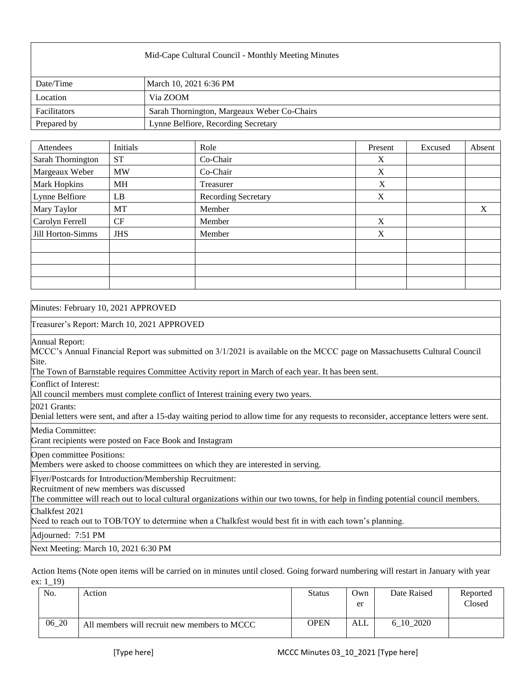| Mid-Cape Cultural Council - Monthly Meeting Minutes |                                             |  |  |  |
|-----------------------------------------------------|---------------------------------------------|--|--|--|
| Date/Time                                           | March 10, 2021 6:36 PM                      |  |  |  |
| Location                                            | Via ZOOM                                    |  |  |  |
| Facilitators                                        | Sarah Thornington, Margeaux Weber Co-Chairs |  |  |  |
| Prepared by                                         | Lynne Belfiore, Recording Secretary         |  |  |  |

| Attendees         | Initials   | Role                       | Present     | Excused | Absent |
|-------------------|------------|----------------------------|-------------|---------|--------|
| Sarah Thornington | <b>ST</b>  | Co-Chair                   | X           |         |        |
| Margeaux Weber    | <b>MW</b>  | Co-Chair                   | X           |         |        |
| Mark Hopkins      | MH         | Treasurer                  | X           |         |        |
| Lynne Belfiore    | LB         | <b>Recording Secretary</b> | X           |         |        |
| Mary Taylor       | MT         | Member                     |             |         | X      |
| Carolyn Ferrell   | CF         | Member                     | X           |         |        |
| Jill Horton-Simms | <b>JHS</b> | Member                     | $\mathbf X$ |         |        |
|                   |            |                            |             |         |        |
|                   |            |                            |             |         |        |
|                   |            |                            |             |         |        |
|                   |            |                            |             |         |        |

| Minutes: February 10, 2021 APPROVED                                                                                                                                                                                                                       |
|-----------------------------------------------------------------------------------------------------------------------------------------------------------------------------------------------------------------------------------------------------------|
| Treasurer's Report: March 10, 2021 APPROVED                                                                                                                                                                                                               |
| Annual Report:<br>MCCC's Annual Financial Report was submitted on 3/1/2021 is available on the MCCC page on Massachusetts Cultural Council<br>Site.<br>The Town of Barnstable requires Committee Activity report in March of each year. It has been sent. |
| Conflict of Interest:<br>All council members must complete conflict of Interest training every two years.                                                                                                                                                 |
| 2021 Grants:<br>Denial letters were sent, and after a 15-day waiting period to allow time for any requests to reconsider, acceptance letters were sent.                                                                                                   |
| Media Committee:<br>Grant recipients were posted on Face Book and Instagram                                                                                                                                                                               |
| Open committee Positions:<br>Members were asked to choose committees on which they are interested in serving.                                                                                                                                             |
| Flyer/Postcards for Introduction/Membership Recruitment:<br>Recruitment of new members was discussed<br>The committee will reach out to local cultural organizations within our two towns, for help in finding potential council members.                 |
| Chalkfest 2021<br>Need to reach out to TOB/TOY to determine when a Chalkfest would best fit in with each town's planning.                                                                                                                                 |
| Adjourned: 7:51 PM                                                                                                                                                                                                                                        |
| Next Meeting: March 10, 2021 6:30 PM                                                                                                                                                                                                                      |

Action Items (Note open items will be carried on in minutes until closed. Going forward numbering will restart in January with year ex: 1\_19)

| No.   | Action                                       | <b>Status</b> | Own<br>er  | Date Raised | Reported<br>Closed |
|-------|----------------------------------------------|---------------|------------|-------------|--------------------|
| 06 20 | All members will recruit new members to MCCC | <b>OPEN</b>   | <b>ALL</b> | 6 10 2020   |                    |

ľ